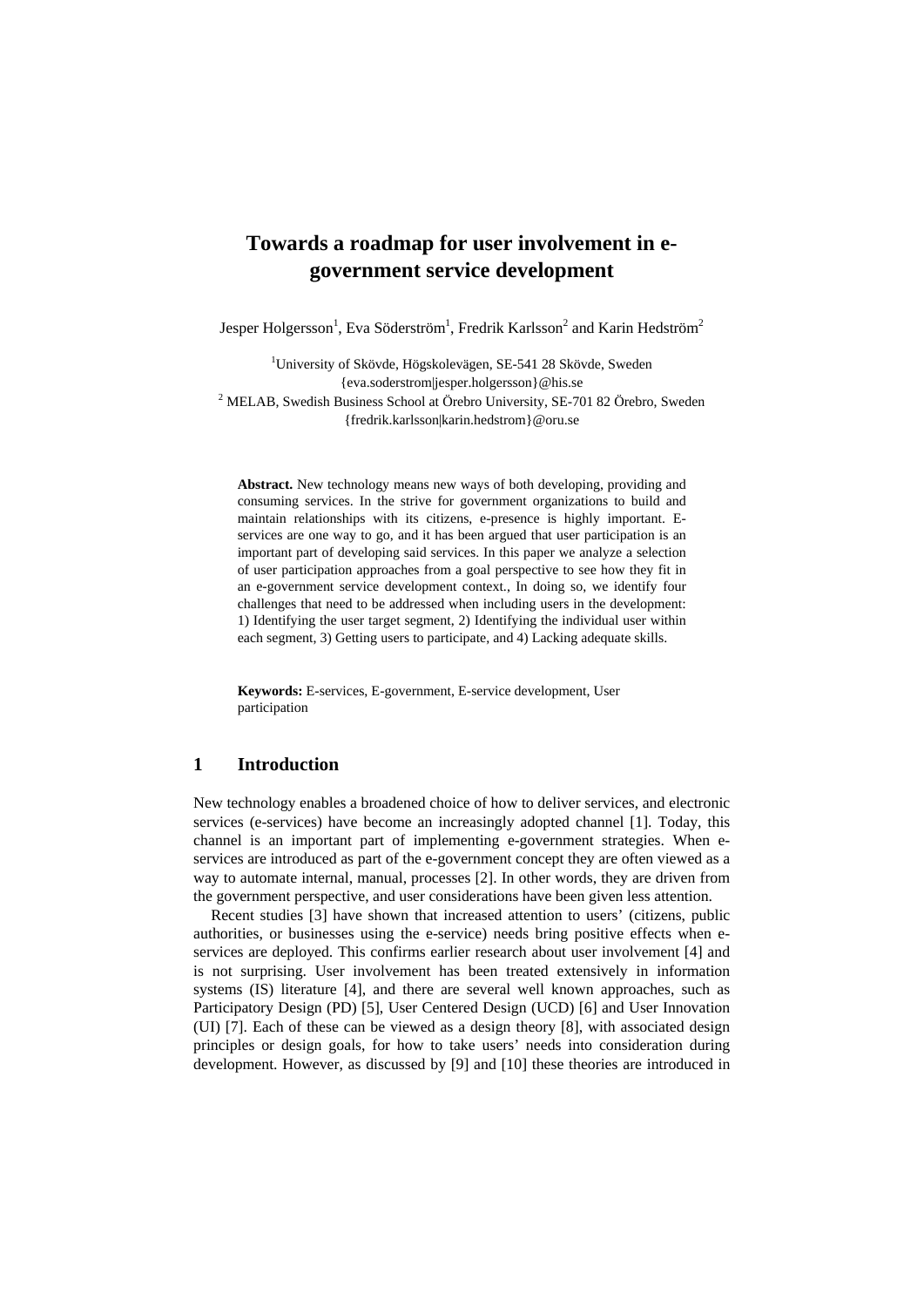# **Towards a roadmap for user involvement in egovernment service development**

Jesper Holgersson<sup>1</sup>, Eva Söderström<sup>1</sup>, Fredrik Karlsson<sup>2</sup> and Karin Hedström<sup>2</sup>

<sup>1</sup>University of Skövde, Högskolevägen, SE-541 28 Skövde, Sweden {eva.soderstrom|jesper.holgersson}@his.se 2 MELAB, Swedish Business School at Örebro University, SE-701 82 Örebro, Sweden {fredrik.karlsson|karin.hedstrom}@oru.se

**Abstract.** New technology means new ways of both developing, providing and consuming services. In the strive for government organizations to build and maintain relationships with its citizens, e-presence is highly important. Eservices are one way to go, and it has been argued that user participation is an important part of developing said services. In this paper we analyze a selection of user participation approaches from a goal perspective to see how they fit in an e-government service development context., In doing so, we identify four challenges that need to be addressed when including users in the development: 1) Identifying the user target segment, 2) Identifying the individual user within each segment, 3) Getting users to participate, and 4) Lacking adequate skills.

**Keywords:** E-services, E-government, E-service development, User participation

### **1 Introduction**

New technology enables a broadened choice of how to deliver services, and electronic services (e-services) have become an increasingly adopted channel [1]. Today, this channel is an important part of implementing e-government strategies. When eservices are introduced as part of the e-government concept they are often viewed as a way to automate internal, manual, processes [2]. In other words, they are driven from the government perspective, and user considerations have been given less attention.

Recent studies [3] have shown that increased attention to users' (citizens, public authorities, or businesses using the e-service) needs bring positive effects when eservices are deployed. This confirms earlier research about user involvement [4] and is not surprising. User involvement has been treated extensively in information systems (IS) literature [4], and there are several well known approaches, such as Participatory Design (PD) [5], User Centered Design (UCD) [6] and User Innovation (UI) [7]. Each of these can be viewed as a design theory [8], with associated design principles or design goals, for how to take users' needs into consideration during development. However, as discussed by [9] and [10] these theories are introduced in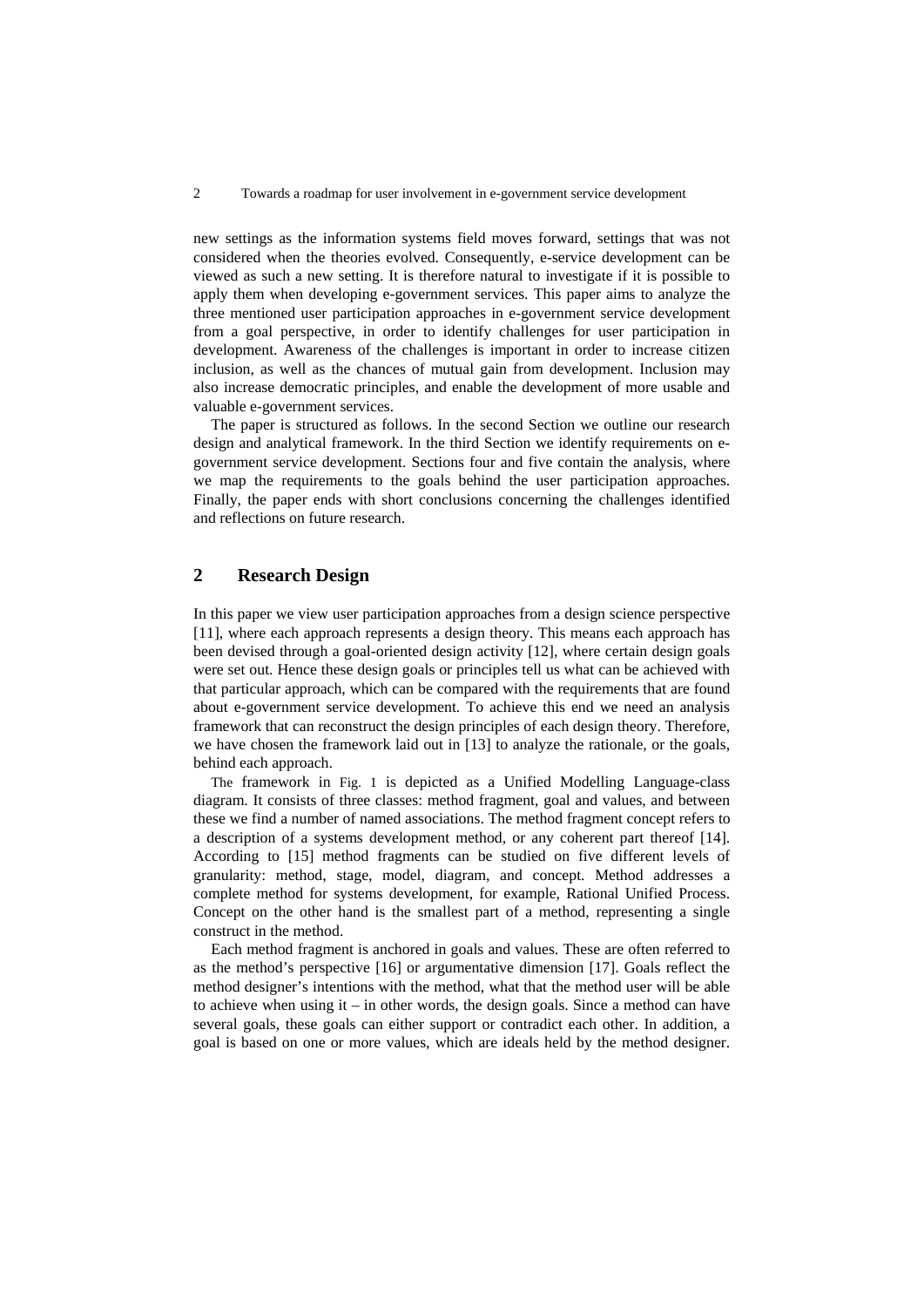new settings as the information systems field moves forward, settings that was not considered when the theories evolved. Consequently, e-service development can be viewed as such a new setting. It is therefore natural to investigate if it is possible to apply them when developing e-government services. This paper aims to analyze the three mentioned user participation approaches in e-government service development from a goal perspective, in order to identify challenges for user participation in development. Awareness of the challenges is important in order to increase citizen inclusion, as well as the chances of mutual gain from development. Inclusion may also increase democratic principles, and enable the development of more usable and valuable e-government services.

The paper is structured as follows. In the second Section we outline our research design and analytical framework. In the third Section we identify requirements on egovernment service development. Sections four and five contain the analysis, where we map the requirements to the goals behind the user participation approaches. Finally, the paper ends with short conclusions concerning the challenges identified and reflections on future research.

## **2 Research Design**

In this paper we view user participation approaches from a design science perspective [11], where each approach represents a design theory. This means each approach has been devised through a goal-oriented design activity [12], where certain design goals were set out. Hence these design goals or principles tell us what can be achieved with that particular approach, which can be compared with the requirements that are found about e-government service development. To achieve this end we need an analysis framework that can reconstruct the design principles of each design theory. Therefore, we have chosen the framework laid out in [13] to analyze the rationale, or the goals, behind each approach.

The framework in Fig. 1 is depicted as a Unified Modelling Language-class diagram. It consists of three classes: method fragment, goal and values, and between these we find a number of named associations. The method fragment concept refers to a description of a systems development method, or any coherent part thereof [14]. According to [15] method fragments can be studied on five different levels of granularity: method, stage, model, diagram, and concept. Method addresses a complete method for systems development, for example, Rational Unified Process. Concept on the other hand is the smallest part of a method, representing a single construct in the method.

Each method fragment is anchored in goals and values. These are often referred to as the method's perspective [16] or argumentative dimension [17]. Goals reflect the method designer's intentions with the method, what that the method user will be able to achieve when using  $it$  – in other words, the design goals. Since a method can have several goals, these goals can either support or contradict each other. In addition, a goal is based on one or more values, which are ideals held by the method designer.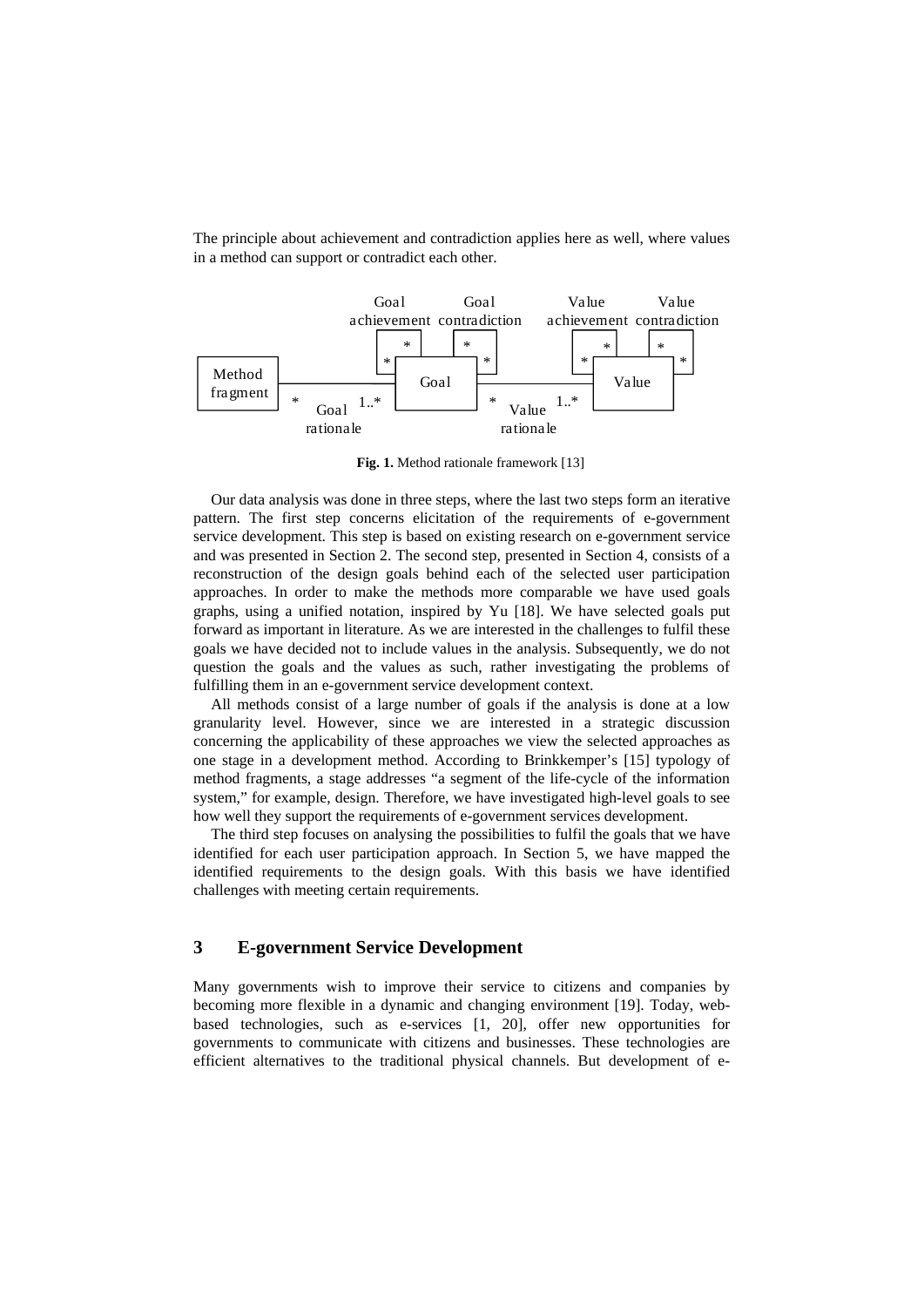The principle about achievement and contradiction applies here as well, where values in a method can support or contradict each other.



**Fig. 1.** Method rationale framework [13]

Our data analysis was done in three steps, where the last two steps form an iterative pattern. The first step concerns elicitation of the requirements of e-government service development. This step is based on existing research on e-government service and was presented in Section 2. The second step, presented in Section 4, consists of a reconstruction of the design goals behind each of the selected user participation approaches. In order to make the methods more comparable we have used goals graphs, using a unified notation, inspired by Yu [18]. We have selected goals put forward as important in literature. As we are interested in the challenges to fulfil these goals we have decided not to include values in the analysis. Subsequently, we do not question the goals and the values as such, rather investigating the problems of fulfilling them in an e-government service development context.

All methods consist of a large number of goals if the analysis is done at a low granularity level. However, since we are interested in a strategic discussion concerning the applicability of these approaches we view the selected approaches as one stage in a development method. According to Brinkkemper's [15] typology of method fragments, a stage addresses "a segment of the life-cycle of the information system," for example, design. Therefore, we have investigated high-level goals to see how well they support the requirements of e-government services development.

The third step focuses on analysing the possibilities to fulfil the goals that we have identified for each user participation approach. In Section 5, we have mapped the identified requirements to the design goals. With this basis we have identified challenges with meeting certain requirements.

# **3 E-government Service Development**

Many governments wish to improve their service to citizens and companies by becoming more flexible in a dynamic and changing environment [19]. Today, webbased technologies, such as e-services [1, 20], offer new opportunities for governments to communicate with citizens and businesses. These technologies are efficient alternatives to the traditional physical channels. But development of e-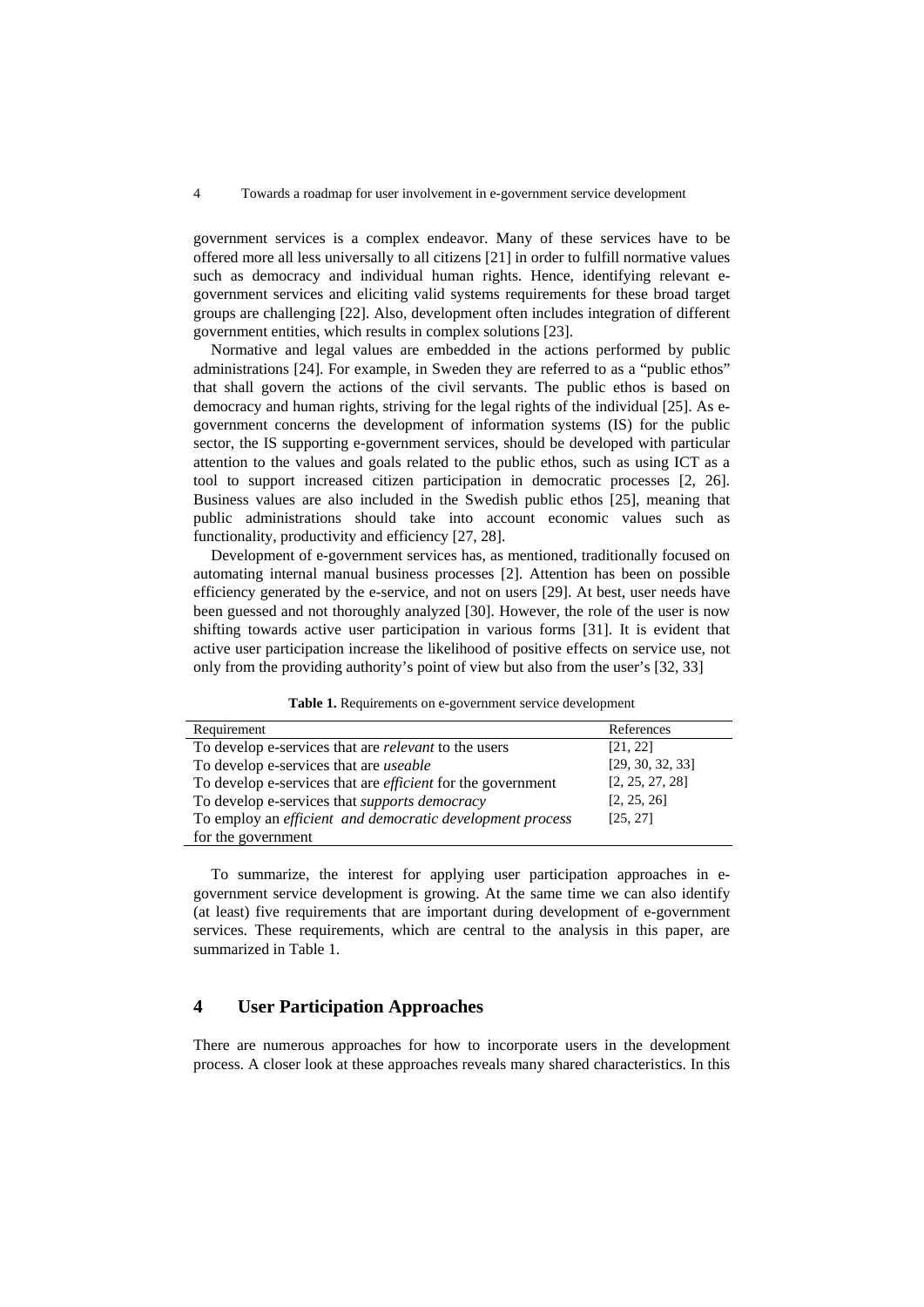government services is a complex endeavor. Many of these services have to be offered more all less universally to all citizens [21] in order to fulfill normative values such as democracy and individual human rights. Hence, identifying relevant egovernment services and eliciting valid systems requirements for these broad target groups are challenging [22]. Also, development often includes integration of different government entities, which results in complex solutions [23].

Normative and legal values are embedded in the actions performed by public administrations [24]. For example, in Sweden they are referred to as a "public ethos" that shall govern the actions of the civil servants. The public ethos is based on democracy and human rights, striving for the legal rights of the individual [25]. As egovernment concerns the development of information systems (IS) for the public sector, the IS supporting e-government services, should be developed with particular attention to the values and goals related to the public ethos, such as using ICT as a tool to support increased citizen participation in democratic processes [2, 26]. Business values are also included in the Swedish public ethos [25], meaning that public administrations should take into account economic values such as functionality, productivity and efficiency [27, 28].

Development of e-government services has, as mentioned, traditionally focused on automating internal manual business processes [2]. Attention has been on possible efficiency generated by the e-service, and not on users [29]. At best, user needs have been guessed and not thoroughly analyzed [30]. However, the role of the user is now shifting towards active user participation in various forms [31]. It is evident that active user participation increase the likelihood of positive effects on service use, not only from the providing authority's point of view but also from the user's [32, 33]

**Table 1.** Requirements on e-government service development

| Requirement                                                        | References       |
|--------------------------------------------------------------------|------------------|
| To develop e-services that are <i>relevant</i> to the users        | [21, 22]         |
| To develop e-services that are <i>useable</i>                      | [29, 30, 32, 33] |
| To develop e-services that are <i>efficient</i> for the government | [2, 25, 27, 28]  |
| To develop e-services that supports democracy                      | [2, 25, 26]      |
| To employ an efficient and democratic development process          | [25, 27]         |
| for the government                                                 |                  |

To summarize, the interest for applying user participation approaches in egovernment service development is growing. At the same time we can also identify (at least) five requirements that are important during development of e-government services. These requirements, which are central to the analysis in this paper, are summarized in Table 1.

### **4 User Participation Approaches**

There are numerous approaches for how to incorporate users in the development process. A closer look at these approaches reveals many shared characteristics. In this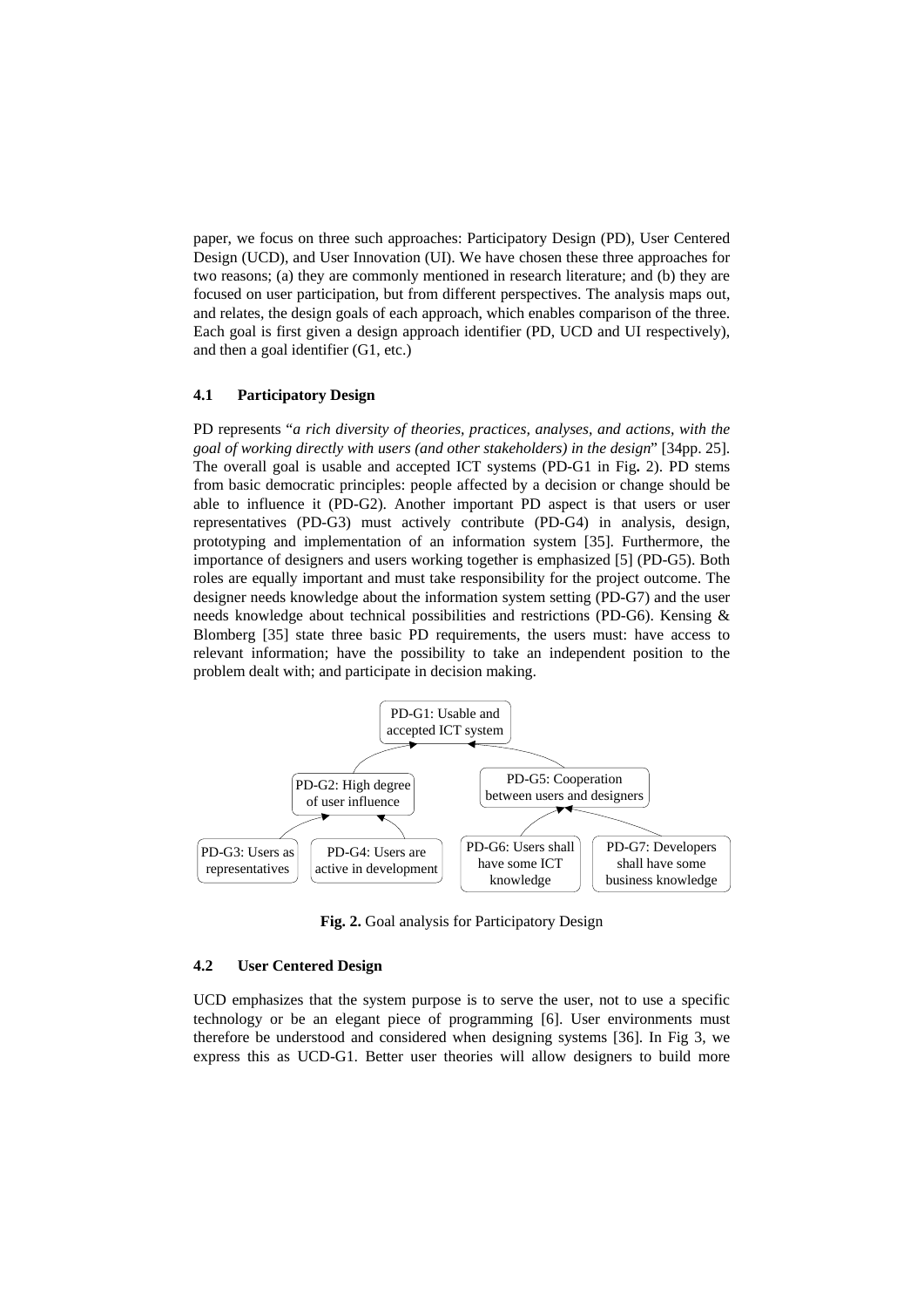paper, we focus on three such approaches: Participatory Design (PD), User Centered Design (UCD), and User Innovation (UI). We have chosen these three approaches for two reasons; (a) they are commonly mentioned in research literature; and (b) they are focused on user participation, but from different perspectives. The analysis maps out, and relates, the design goals of each approach, which enables comparison of the three. Each goal is first given a design approach identifier (PD, UCD and UI respectively), and then a goal identifier (G1, etc.)

#### **4.1 Participatory Design**

PD represents "*a rich diversity of theories, practices, analyses, and actions, with the goal of working directly with users (and other stakeholders) in the design*" [34pp. 25]. The overall goal is usable and accepted ICT systems (PD-G1 in Fig**.** 2). PD stems from basic democratic principles: people affected by a decision or change should be able to influence it (PD-G2). Another important PD aspect is that users or user representatives (PD-G3) must actively contribute (PD-G4) in analysis, design, prototyping and implementation of an information system [35]. Furthermore, the importance of designers and users working together is emphasized [5] (PD-G5). Both roles are equally important and must take responsibility for the project outcome. The designer needs knowledge about the information system setting (PD-G7) and the user needs knowledge about technical possibilities and restrictions (PD-G6). Kensing & Blomberg [35] state three basic PD requirements, the users must: have access to relevant information; have the possibility to take an independent position to the problem dealt with; and participate in decision making.



**Fig. 2.** Goal analysis for Participatory Design

#### **4.2 User Centered Design**

UCD emphasizes that the system purpose is to serve the user, not to use a specific technology or be an elegant piece of programming [6]. User environments must therefore be understood and considered when designing systems [36]. In Fig 3, we express this as UCD-G1. Better user theories will allow designers to build more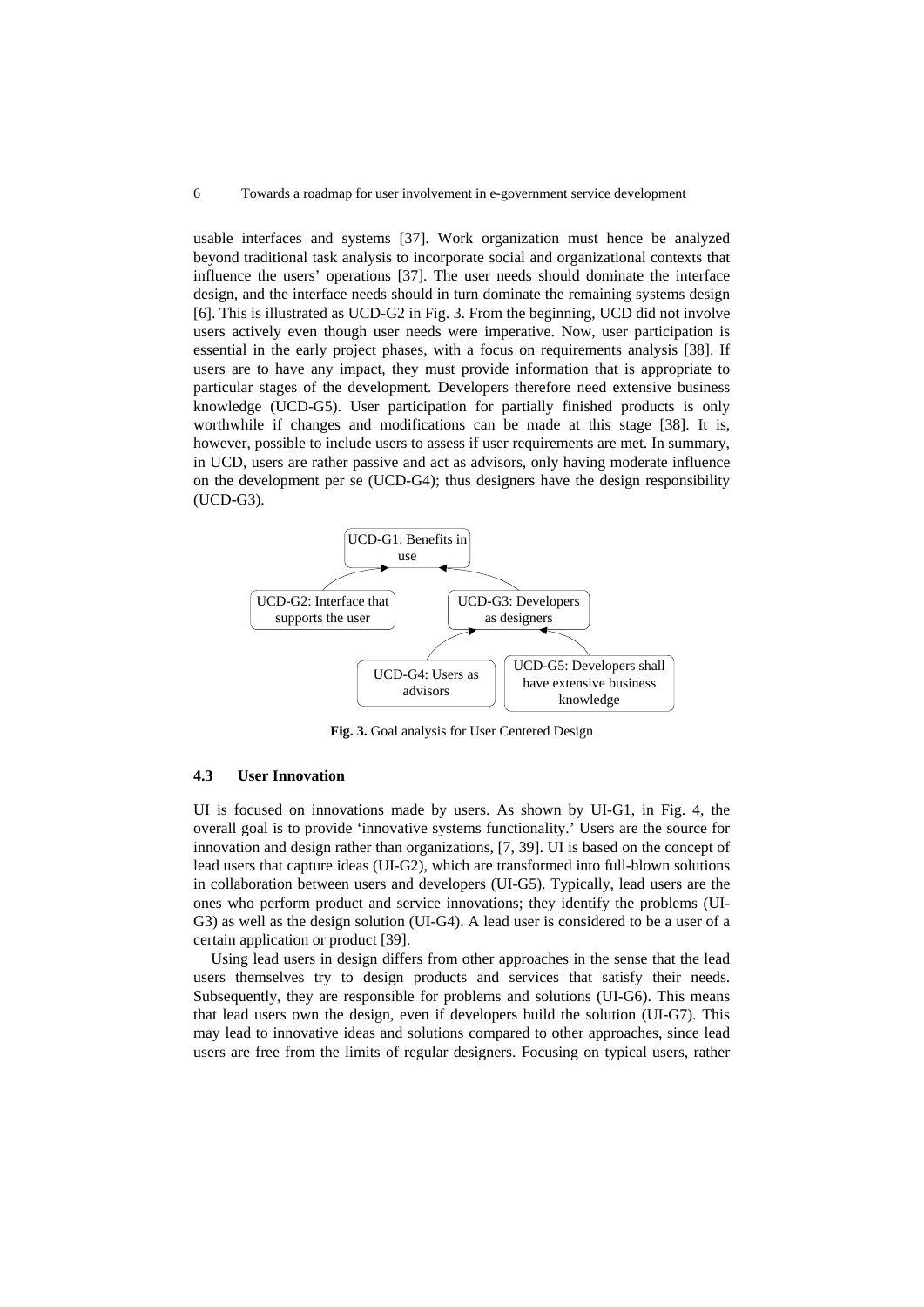usable interfaces and systems [37]. Work organization must hence be analyzed beyond traditional task analysis to incorporate social and organizational contexts that influence the users' operations [37]. The user needs should dominate the interface design, and the interface needs should in turn dominate the remaining systems design [6]. This is illustrated as UCD-G2 in Fig. 3. From the beginning, UCD did not involve users actively even though user needs were imperative. Now, user participation is essential in the early project phases, with a focus on requirements analysis [38]. If users are to have any impact, they must provide information that is appropriate to particular stages of the development. Developers therefore need extensive business knowledge (UCD-G5). User participation for partially finished products is only worthwhile if changes and modifications can be made at this stage [38]. It is, however, possible to include users to assess if user requirements are met. In summary, in UCD, users are rather passive and act as advisors, only having moderate influence on the development per se (UCD-G4); thus designers have the design responsibility (UCD-G3).



**Fig. 3.** Goal analysis for User Centered Design

### **4.3 User Innovation**

UI is focused on innovations made by users. As shown by UI-G1, in Fig. 4, the overall goal is to provide 'innovative systems functionality.' Users are the source for innovation and design rather than organizations, [7, 39]. UI is based on the concept of lead users that capture ideas (UI-G2), which are transformed into full-blown solutions in collaboration between users and developers (UI-G5). Typically, lead users are the ones who perform product and service innovations; they identify the problems (UI-G3) as well as the design solution (UI-G4). A lead user is considered to be a user of a certain application or product [39].

Using lead users in design differs from other approaches in the sense that the lead users themselves try to design products and services that satisfy their needs. Subsequently, they are responsible for problems and solutions (UI-G6). This means that lead users own the design, even if developers build the solution (UI-G7). This may lead to innovative ideas and solutions compared to other approaches, since lead users are free from the limits of regular designers. Focusing on typical users, rather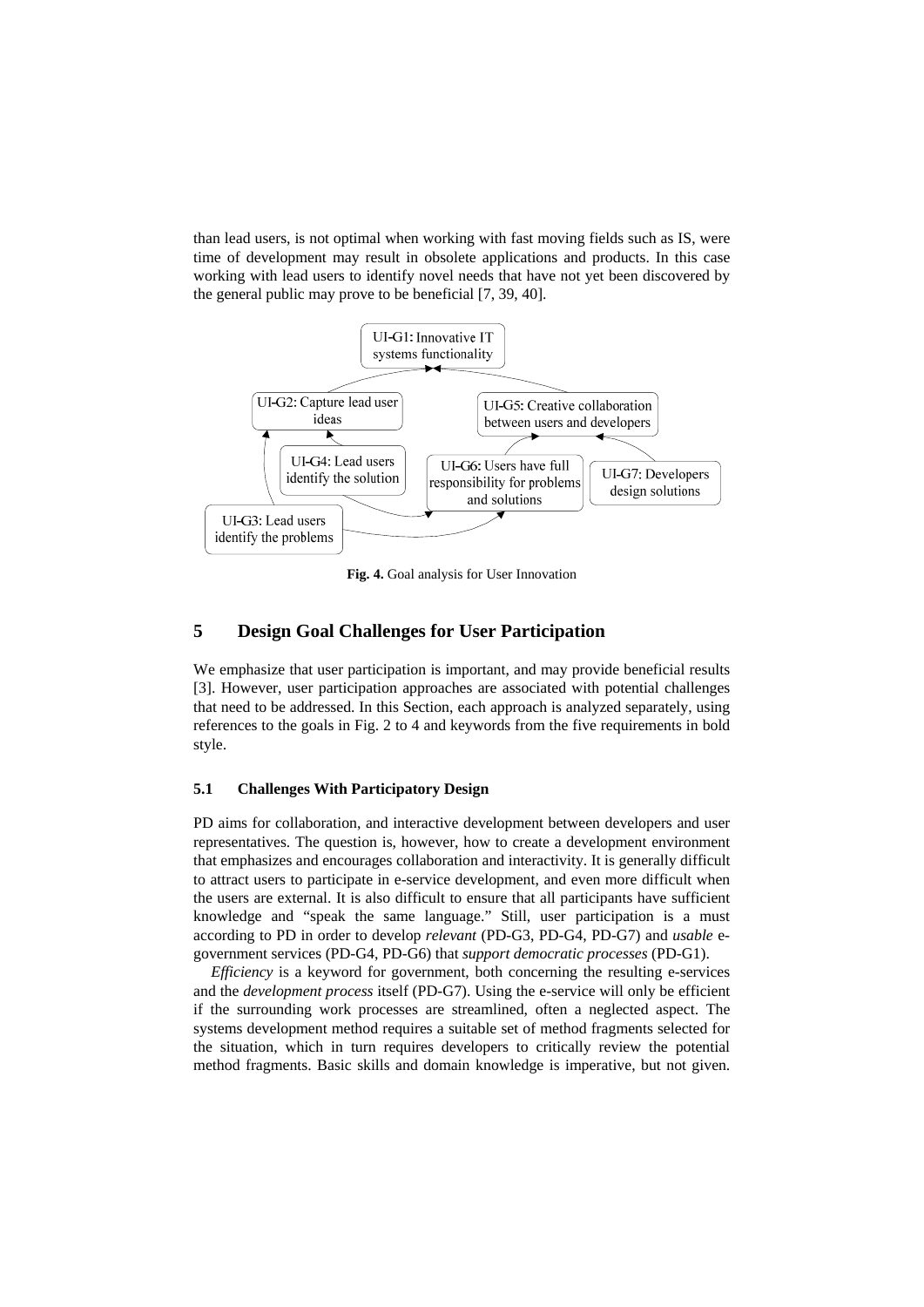than lead users, is not optimal when working with fast moving fields such as IS, were time of development may result in obsolete applications and products. In this case working with lead users to identify novel needs that have not yet been discovered by the general public may prove to be beneficial [7, 39, 40].



**Fig. 4.** Goal analysis for User Innovation

### **5 Design Goal Challenges for User Participation**

We emphasize that user participation is important, and may provide beneficial results [3]. However, user participation approaches are associated with potential challenges that need to be addressed. In this Section, each approach is analyzed separately, using references to the goals in Fig. 2 to 4 and keywords from the five requirements in bold style.

### **5.1 Challenges With Participatory Design**

PD aims for collaboration, and interactive development between developers and user representatives. The question is, however, how to create a development environment that emphasizes and encourages collaboration and interactivity. It is generally difficult to attract users to participate in e-service development, and even more difficult when the users are external. It is also difficult to ensure that all participants have sufficient knowledge and "speak the same language." Still, user participation is a must according to PD in order to develop *relevant* (PD-G3, PD-G4, PD-G7) and *usable* egovernment services (PD-G4, PD-G6) that *support democratic processes* (PD-G1).

*Efficiency* is a keyword for government, both concerning the resulting e-services and the *development process* itself (PD-G7). Using the e-service will only be efficient if the surrounding work processes are streamlined, often a neglected aspect. The systems development method requires a suitable set of method fragments selected for the situation, which in turn requires developers to critically review the potential method fragments. Basic skills and domain knowledge is imperative, but not given.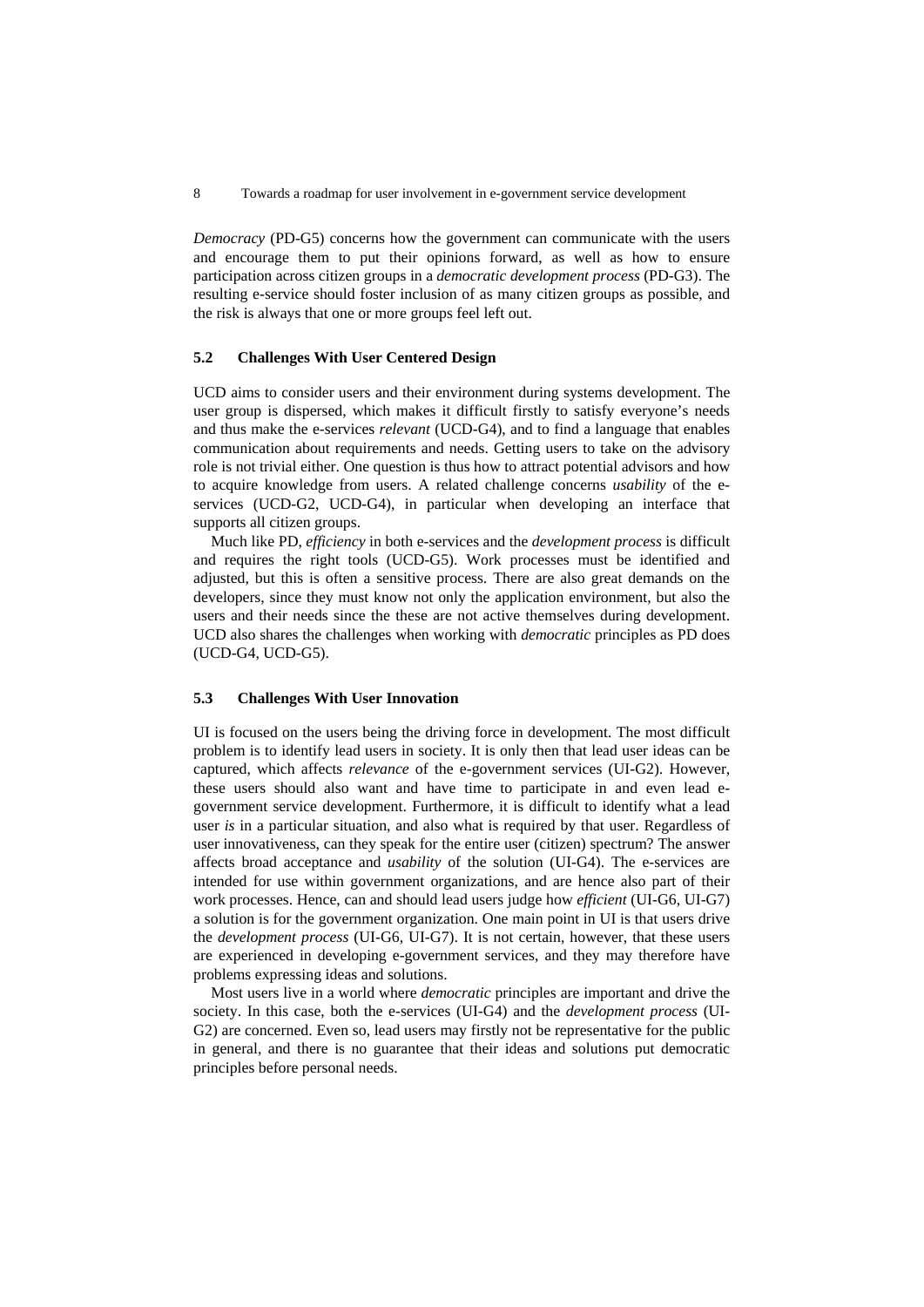*Democracy* (PD-G5) concerns how the government can communicate with the users and encourage them to put their opinions forward, as well as how to ensure participation across citizen groups in a *democratic development process* (PD-G3). The resulting e-service should foster inclusion of as many citizen groups as possible, and the risk is always that one or more groups feel left out.

### **5.2 Challenges With User Centered Design**

UCD aims to consider users and their environment during systems development. The user group is dispersed, which makes it difficult firstly to satisfy everyone's needs and thus make the e-services *relevant* (UCD-G4), and to find a language that enables communication about requirements and needs. Getting users to take on the advisory role is not trivial either. One question is thus how to attract potential advisors and how to acquire knowledge from users. A related challenge concerns *usability* of the eservices (UCD-G2, UCD-G4), in particular when developing an interface that supports all citizen groups.

Much like PD, *efficiency* in both e-services and the *development process* is difficult and requires the right tools (UCD-G5). Work processes must be identified and adjusted, but this is often a sensitive process. There are also great demands on the developers, since they must know not only the application environment, but also the users and their needs since the these are not active themselves during development. UCD also shares the challenges when working with *democratic* principles as PD does (UCD-G4, UCD-G5).

#### **5.3 Challenges With User Innovation**

UI is focused on the users being the driving force in development. The most difficult problem is to identify lead users in society. It is only then that lead user ideas can be captured, which affects *relevance* of the e-government services (UI-G2). However, these users should also want and have time to participate in and even lead egovernment service development. Furthermore, it is difficult to identify what a lead user *is* in a particular situation, and also what is required by that user. Regardless of user innovativeness, can they speak for the entire user (citizen) spectrum? The answer affects broad acceptance and *usability* of the solution (UI-G4). The e-services are intended for use within government organizations, and are hence also part of their work processes. Hence, can and should lead users judge how *efficient* (UI-G6, UI-G7) a solution is for the government organization. One main point in UI is that users drive the *development process* (UI-G6, UI-G7). It is not certain, however, that these users are experienced in developing e-government services, and they may therefore have problems expressing ideas and solutions.

Most users live in a world where *democratic* principles are important and drive the society. In this case, both the e-services (UI-G4) and the *development process* (UI-G2) are concerned. Even so, lead users may firstly not be representative for the public in general, and there is no guarantee that their ideas and solutions put democratic principles before personal needs.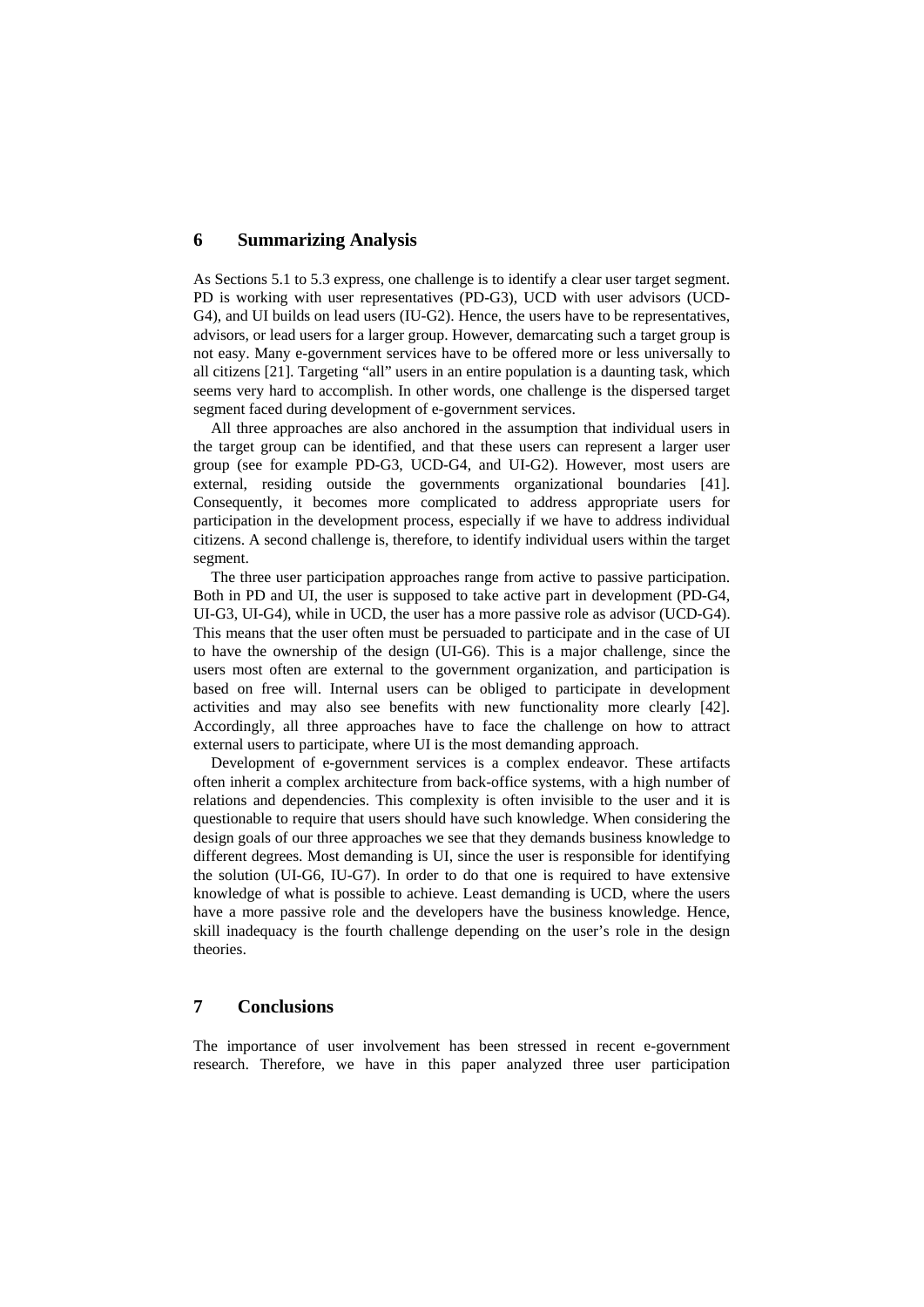### **6 Summarizing Analysis**

As Sections 5.1 to 5.3 express, one challenge is to identify a clear user target segment. PD is working with user representatives (PD-G3), UCD with user advisors (UCD-G4), and UI builds on lead users (IU-G2). Hence, the users have to be representatives, advisors, or lead users for a larger group. However, demarcating such a target group is not easy. Many e-government services have to be offered more or less universally to all citizens [21]. Targeting "all" users in an entire population is a daunting task, which seems very hard to accomplish. In other words, one challenge is the dispersed target segment faced during development of e-government services.

All three approaches are also anchored in the assumption that individual users in the target group can be identified, and that these users can represent a larger user group (see for example PD-G3, UCD-G4, and UI-G2). However, most users are external, residing outside the governments organizational boundaries [41]. Consequently, it becomes more complicated to address appropriate users for participation in the development process, especially if we have to address individual citizens. A second challenge is, therefore, to identify individual users within the target segment.

The three user participation approaches range from active to passive participation. Both in PD and UI, the user is supposed to take active part in development (PD-G4, UI-G3, UI-G4), while in UCD, the user has a more passive role as advisor (UCD-G4). This means that the user often must be persuaded to participate and in the case of UI to have the ownership of the design (UI-G6). This is a major challenge, since the users most often are external to the government organization, and participation is based on free will. Internal users can be obliged to participate in development activities and may also see benefits with new functionality more clearly [42]. Accordingly, all three approaches have to face the challenge on how to attract external users to participate, where UI is the most demanding approach.

Development of e-government services is a complex endeavor. These artifacts often inherit a complex architecture from back-office systems, with a high number of relations and dependencies. This complexity is often invisible to the user and it is questionable to require that users should have such knowledge. When considering the design goals of our three approaches we see that they demands business knowledge to different degrees. Most demanding is UI, since the user is responsible for identifying the solution (UI-G6, IU-G7). In order to do that one is required to have extensive knowledge of what is possible to achieve. Least demanding is UCD, where the users have a more passive role and the developers have the business knowledge. Hence, skill inadequacy is the fourth challenge depending on the user's role in the design theories.

### **7 Conclusions**

The importance of user involvement has been stressed in recent e-government research. Therefore, we have in this paper analyzed three user participation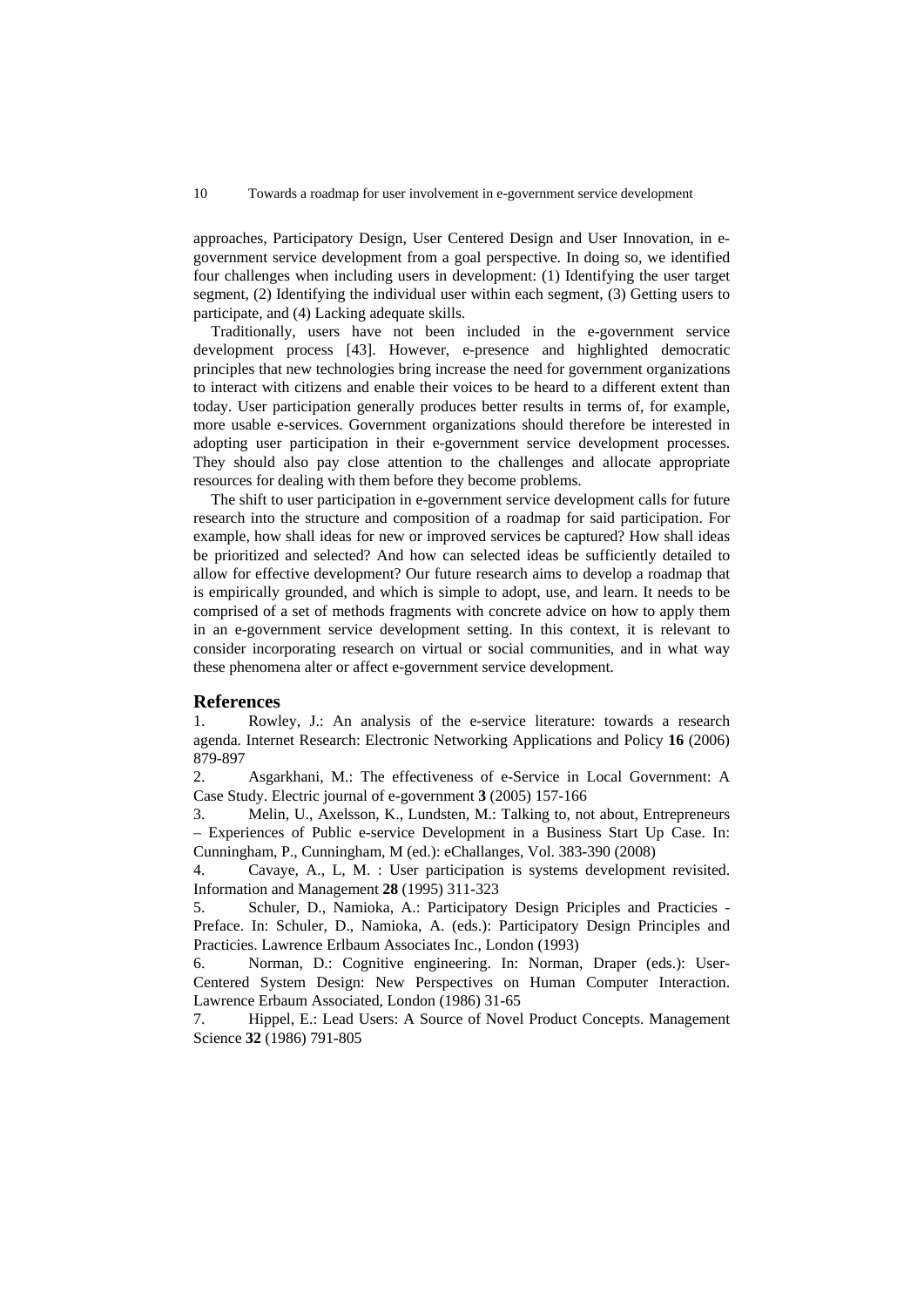approaches, Participatory Design, User Centered Design and User Innovation, in egovernment service development from a goal perspective. In doing so, we identified four challenges when including users in development: (1) Identifying the user target segment, (2) Identifying the individual user within each segment, (3) Getting users to participate, and (4) Lacking adequate skills.

Traditionally, users have not been included in the e-government service development process [43]. However, e-presence and highlighted democratic principles that new technologies bring increase the need for government organizations to interact with citizens and enable their voices to be heard to a different extent than today. User participation generally produces better results in terms of, for example, more usable e-services. Government organizations should therefore be interested in adopting user participation in their e-government service development processes. They should also pay close attention to the challenges and allocate appropriate resources for dealing with them before they become problems.

The shift to user participation in e-government service development calls for future research into the structure and composition of a roadmap for said participation. For example, how shall ideas for new or improved services be captured? How shall ideas be prioritized and selected? And how can selected ideas be sufficiently detailed to allow for effective development? Our future research aims to develop a roadmap that is empirically grounded, and which is simple to adopt, use, and learn. It needs to be comprised of a set of methods fragments with concrete advice on how to apply them in an e-government service development setting. In this context, it is relevant to consider incorporating research on virtual or social communities, and in what way these phenomena alter or affect e-government service development.

#### **References**

1. Rowley, J.: An analysis of the e-service literature: towards a research agenda. Internet Research: Electronic Networking Applications and Policy **16** (2006) 879-897

2. Asgarkhani, M.: The effectiveness of e-Service in Local Government: A Case Study. Electric journal of e-government **3** (2005) 157-166

3. Melin, U., Axelsson, K., Lundsten, M.: Talking to, not about, Entrepreneurs – Experiences of Public e-service Development in a Business Start Up Case. In: Cunningham, P., Cunningham, M (ed.): eChallanges, Vol. 383-390 (2008)

4. Cavaye, A., L, M. : User participation is systems development revisited. Information and Management **28** (1995) 311-323

5. Schuler, D., Namioka, A.: Participatory Design Priciples and Practicies - Preface. In: Schuler, D., Namioka, A. (eds.): Participatory Design Principles and Practicies. Lawrence Erlbaum Associates Inc., London (1993)

6. Norman, D.: Cognitive engineering. In: Norman, Draper (eds.): User-Centered System Design: New Perspectives on Human Computer Interaction. Lawrence Erbaum Associated, London (1986) 31-65

7. Hippel, E.: Lead Users: A Source of Novel Product Concepts. Management Science **32** (1986) 791-805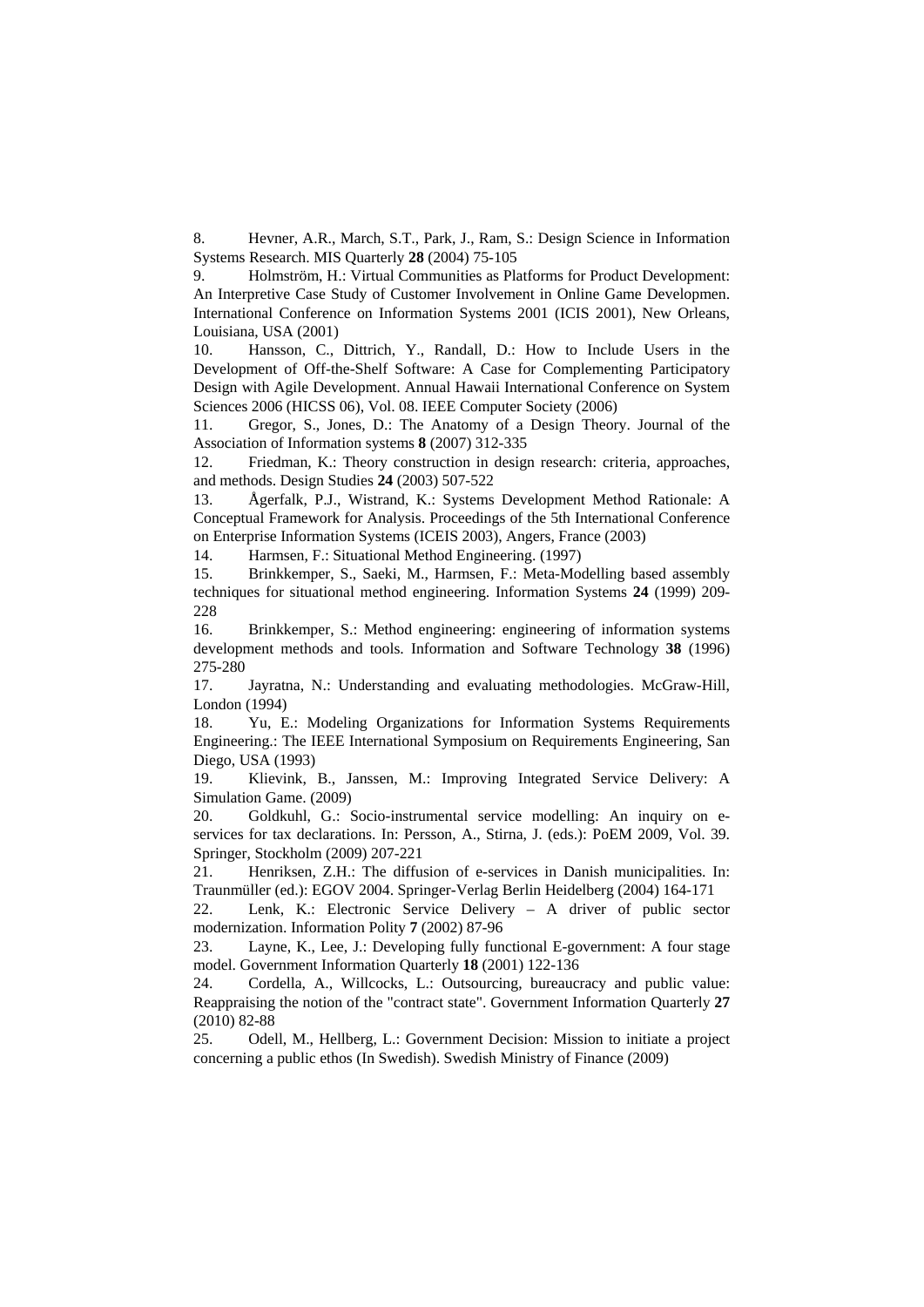8. Hevner, A.R., March, S.T., Park, J., Ram, S.: Design Science in Information Systems Research. MIS Quarterly **28** (2004) 75-105

9. Holmström, H.: Virtual Communities as Platforms for Product Development: An Interpretive Case Study of Customer Involvement in Online Game Developmen. International Conference on Information Systems 2001 (ICIS 2001), New Orleans, Louisiana, USA (2001)

10. Hansson, C., Dittrich, Y., Randall, D.: How to Include Users in the Development of Off-the-Shelf Software: A Case for Complementing Participatory Design with Agile Development. Annual Hawaii International Conference on System Sciences 2006 (HICSS 06), Vol. 08. IEEE Computer Society (2006)

11. Gregor, S., Jones, D.: The Anatomy of a Design Theory. Journal of the Association of Information systems **8** (2007) 312-335

12. Friedman, K.: Theory construction in design research: criteria, approaches, and methods. Design Studies **24** (2003) 507-522

13. Ågerfalk, P.J., Wistrand, K.: Systems Development Method Rationale: A Conceptual Framework for Analysis. Proceedings of the 5th International Conference on Enterprise Information Systems (ICEIS 2003), Angers, France (2003)

14. Harmsen, F.: Situational Method Engineering. (1997)

15. Brinkkemper, S., Saeki, M., Harmsen, F.: Meta-Modelling based assembly techniques for situational method engineering. Information Systems **24** (1999) 209- 228

16. Brinkkemper, S.: Method engineering: engineering of information systems development methods and tools. Information and Software Technology **38** (1996) 275-280

17. Jayratna, N.: Understanding and evaluating methodologies. McGraw-Hill, London (1994)

18. Yu, E.: Modeling Organizations for Information Systems Requirements Engineering.: The IEEE International Symposium on Requirements Engineering, San Diego, USA (1993)

19. Klievink, B., Janssen, M.: Improving Integrated Service Delivery: A Simulation Game. (2009)

20. Goldkuhl, G.: Socio-instrumental service modelling: An inquiry on eservices for tax declarations. In: Persson, A., Stirna, J. (eds.): PoEM 2009, Vol. 39. Springer, Stockholm (2009) 207-221

21. Henriksen, Z.H.: The diffusion of e-services in Danish municipalities. In: Traunmüller (ed.): EGOV 2004. Springer-Verlag Berlin Heidelberg (2004) 164-171

22. Lenk, K.: Electronic Service Delivery – A driver of public sector modernization. Information Polity **7** (2002) 87-96

23. Layne, K., Lee, J.: Developing fully functional E-government: A four stage model. Government Information Quarterly **18** (2001) 122-136

24. Cordella, A., Willcocks, L.: Outsourcing, bureaucracy and public value: Reappraising the notion of the "contract state". Government Information Quarterly **27**  (2010) 82-88

25. Odell, M., Hellberg, L.: Government Decision: Mission to initiate a project concerning a public ethos (In Swedish). Swedish Ministry of Finance (2009)